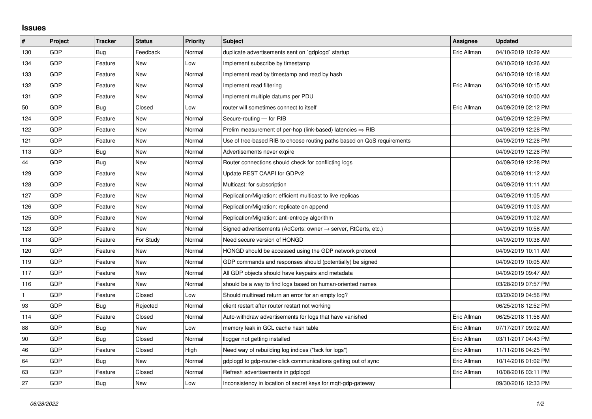## **Issues**

| #   | Project    | <b>Tracker</b> | <b>Status</b> | <b>Priority</b> | <b>Subject</b>                                                             | <b>Assignee</b> | <b>Updated</b>      |
|-----|------------|----------------|---------------|-----------------|----------------------------------------------------------------------------|-----------------|---------------------|
| 130 | GDP        | Bug            | Feedback      | Normal          | duplicate advertisements sent on `gdplogd` startup                         | Eric Allman     | 04/10/2019 10:29 AM |
| 134 | GDP        | Feature        | New           | Low             | Implement subscribe by timestamp                                           |                 | 04/10/2019 10:26 AM |
| 133 | GDP        | Feature        | New           | Normal          | Implement read by timestamp and read by hash                               |                 | 04/10/2019 10:18 AM |
| 132 | GDP        | Feature        | <b>New</b>    | Normal          | Implement read filtering                                                   | Eric Allman     | 04/10/2019 10:15 AM |
| 131 | GDP        | Feature        | New           | Normal          | Implement multiple datums per PDU                                          |                 | 04/10/2019 10:00 AM |
| 50  | GDP        | Bug            | Closed        | Low             | router will sometimes connect to itself                                    | Eric Allman     | 04/09/2019 02:12 PM |
| 124 | GDP        | Feature        | <b>New</b>    | Normal          | Secure-routing - for RIB                                                   |                 | 04/09/2019 12:29 PM |
| 122 | GDP        | Feature        | New           | Normal          | Prelim measurement of per-hop (link-based) latencies $\Rightarrow$ RIB     |                 | 04/09/2019 12:28 PM |
| 121 | GDP        | Feature        | New           | Normal          | Use of tree-based RIB to choose routing paths based on QoS requirements    |                 | 04/09/2019 12:28 PM |
| 113 | GDP        | <b>Bug</b>     | <b>New</b>    | Normal          | Advertisements never expire                                                |                 | 04/09/2019 12:28 PM |
| 44  | GDP        | Bug            | New           | Normal          | Router connections should check for conflicting logs                       |                 | 04/09/2019 12:28 PM |
| 129 | GDP        | Feature        | New           | Normal          | Update REST CAAPI for GDPv2                                                |                 | 04/09/2019 11:12 AM |
| 128 | GDP        | Feature        | New           | Normal          | Multicast: for subscription                                                |                 | 04/09/2019 11:11 AM |
| 127 | GDP        | Feature        | New           | Normal          | Replication/Migration: efficient multicast to live replicas                |                 | 04/09/2019 11:05 AM |
| 126 | GDP        | Feature        | New           | Normal          | Replication/Migration: replicate on append                                 |                 | 04/09/2019 11:03 AM |
| 125 | GDP        | Feature        | New           | Normal          | Replication/Migration: anti-entropy algorithm                              |                 | 04/09/2019 11:02 AM |
| 123 | GDP        | Feature        | New           | Normal          | Signed advertisements (AdCerts: owner $\rightarrow$ server, RtCerts, etc.) |                 | 04/09/2019 10:58 AM |
| 118 | GDP        | Feature        | For Study     | Normal          | Need secure version of HONGD                                               |                 | 04/09/2019 10:38 AM |
| 120 | GDP        | Feature        | New           | Normal          | HONGD should be accessed using the GDP network protocol                    |                 | 04/09/2019 10:11 AM |
| 119 | GDP        | Feature        | New           | Normal          | GDP commands and responses should (potentially) be signed                  |                 | 04/09/2019 10:05 AM |
| 117 | GDP        | Feature        | New           | Normal          | All GDP objects should have keypairs and metadata                          |                 | 04/09/2019 09:47 AM |
| 116 | GDP        | Feature        | New           | Normal          | should be a way to find logs based on human-oriented names                 |                 | 03/28/2019 07:57 PM |
|     | GDP        | Feature        | Closed        | Low             | Should multiread return an error for an empty log?                         |                 | 03/20/2019 04:56 PM |
| 93  | GDP        | <b>Bug</b>     | Rejected      | Normal          | client restart after router restart not working                            |                 | 06/25/2018 12:52 PM |
| 114 | <b>GDP</b> | Feature        | Closed        | Normal          | Auto-withdraw advertisements for logs that have vanished                   | Eric Allman     | 06/25/2018 11:56 AM |
| 88  | GDP        | <b>Bug</b>     | New           | Low             | memory leak in GCL cache hash table                                        | Eric Allman     | 07/17/2017 09:02 AM |
| 90  | GDP        | <b>Bug</b>     | Closed        | Normal          | llogger not getting installed                                              | Eric Allman     | 03/11/2017 04:43 PM |
| 46  | <b>GDP</b> | Feature        | Closed        | High            | Need way of rebuilding log indices ("fsck for logs")                       | Eric Allman     | 11/11/2016 04:25 PM |
| 64  | GDP        | Bug            | <b>New</b>    | Normal          | gdplogd to gdp-router-click communications getting out of sync             | Eric Allman     | 10/14/2016 01:02 PM |
| 63  | GDP        | Feature        | Closed        | Normal          | Refresh advertisements in gdplogd                                          | Eric Allman     | 10/08/2016 03:11 PM |
| 27  | GDP        | <b>Bug</b>     | New           | Low             | Inconsistency in location of secret keys for mqtt-gdp-gateway              |                 | 09/30/2016 12:33 PM |